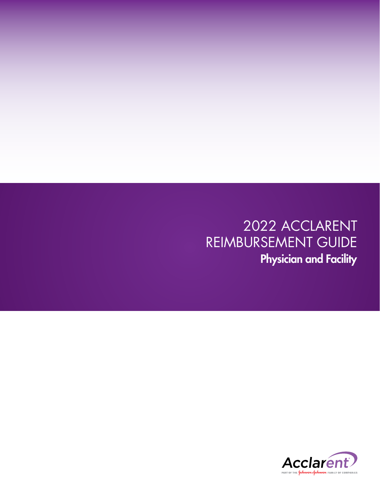2022 ACCLARENT REIMBURSEMENT GUIDE Physician and Facility

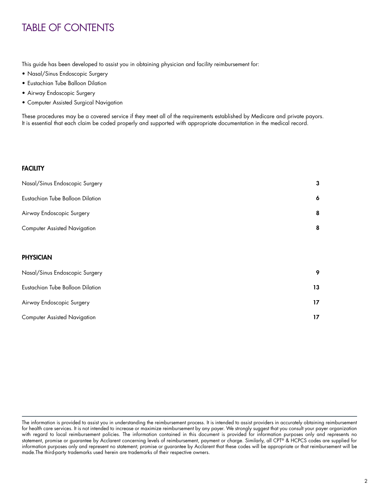# TABLE OF CONTENTS

This guide has been developed to assist you in obtaining physician and facility reimbursement for:

- Nasal/Sinus Endoscopic Surgery
- Eustachian Tube Balloon Dilation
- Airway Endoscopic Surgery
- Computer Assisted Surgical Navigation

These procedures may be a covered service if they meet all of the requirements established by Medicare and private payors. It is essential that each claim be coded properly and supported with appropriate documentation in the medical record.

## **FACILITY**

| Nasal/Sinus Endoscopic Surgery      | 3  |
|-------------------------------------|----|
| Eustachian Tube Balloon Dilation    | 6  |
| Airway Endoscopic Surgery           | 8  |
| <b>Computer Assisted Navigation</b> | 8  |
|                                     |    |
| <b>PHYSICIAN</b>                    |    |
| Nasal/Sinus Endoscopic Surgery      | 9  |
| Eustachian Tube Balloon Dilation    | 13 |
| Airway Endoscopic Surgery           | 17 |
| <b>Computer Assisted Navigation</b> | 17 |
|                                     |    |

The information is provided to assist you in understanding the reimbursement process. It is intended to assist providers in accurately obtaining reimbursement for health care services. It is not intended to increase or maximize reimbursement by any payer. We strongly suggest that you consult your payer organization with regard to local reimbursement policies. The information contained in this document is provided for information purposes only and represents no statement, promise or guarantee by Acclarent concerning levels of reimbursement, payment or charge. Similarly, all CPT® & HCPCS codes are supplied for information purposes only and represent no statement; promise or guarantee by Acclarent that these codes will be appropriate or that reimbursement will be made.The third-party trademarks used herein are trademarks of their respective owners.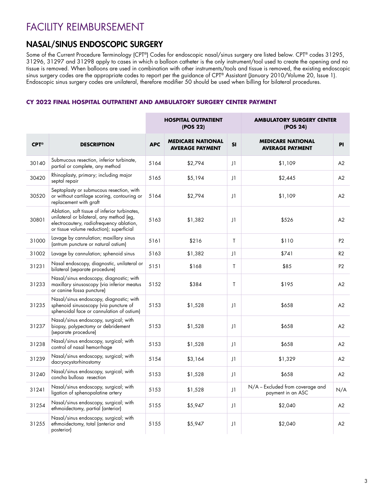# FACILITY REIMBURSEMENT

# NASAL/SINUS ENDOSCOPIC SURGERY

Some of the Current Procedure Terminology (CPT®) Codes for endoscopic nasal/sinus surgery are listed below. CPT® codes 31295, 31296, 31297 and 31298 apply to cases in which a balloon catheter is the only instrument/tool used to create the opening and no tissue is removed. When balloons are used in combination with other instruments/tools and tissue is removed, the existing endoscopic sinus surgery codes are the appropriate codes to report per the guidance of CPT® Assistant (January 2010/Volume 20, Issue 1). Endoscopic sinus surgery codes are unilateral, therefore modifier 50 should be used when billing for bilateral procedures.

# **CY 2022 FINAL HOSPITAL OUTPATIENT AND AMBULATORY SURGERY CENTER PAYMENT**

|                   |                                                                                                                                                                                   |            | <b>HOSPITAL OUTPATIENT</b><br>(POS 22)             |             | <b>AMBULATORY SURGERY CENTER</b><br>(POS 24)          |                |
|-------------------|-----------------------------------------------------------------------------------------------------------------------------------------------------------------------------------|------------|----------------------------------------------------|-------------|-------------------------------------------------------|----------------|
| $CPT^{\circledR}$ | <b>DESCRIPTION</b>                                                                                                                                                                | <b>APC</b> | <b>MEDICARE NATIONAL</b><br><b>AVERAGE PAYMENT</b> | SI          | <b>MEDICARE NATIONAL</b><br><b>AVERAGE PAYMENT</b>    | PI             |
| 30140             | Submucous resection, inferior turbinate,<br>partial or complete, any method                                                                                                       | 5164       | \$2,794                                            | $_{\rm J1}$ | \$1,109                                               | A2             |
| 30420             | Rhinoplasty, primary; including major<br>septal repair                                                                                                                            | 5165       | \$5,194                                            | J1          | \$2,445                                               | A2             |
| 30520             | Septoplasty or submucous resection, with<br>or without cartilage scoring, contouring or<br>replacement with graft                                                                 | 5164       | \$2,794                                            | J1          | \$1,109                                               | A2             |
| 30801             | Ablation, soft tissue of inferior turbinates,<br>unilateral or bilateral, any method (eg,<br>electrocautery, radiofrequency ablation,<br>or tissue volume reduction); superficial | 5163       | \$1,382                                            | J1          | \$526                                                 | A2             |
| 31000             | Lavage by cannulation; maxillary sinus<br>(antrum puncture or natural ostium)                                                                                                     | 5161       | \$216                                              | T           | \$110                                                 | P <sub>2</sub> |
| 31002             | Lavage by cannulation; sphenoid sinus                                                                                                                                             | 5163       | \$1,382                                            | $_{\rm J1}$ | \$741                                                 | R2             |
| 31231             | Nasal endoscopy, diagnostic, unilateral or<br>bilateral (separate procedure)                                                                                                      | 5151       | \$168                                              | T           | \$85                                                  | P <sub>2</sub> |
| 31233             | Nasal/sinus endoscopy, diagnostic; with<br>maxillary sinusoscopy (via inferior meatus<br>or canine fossa puncture)                                                                | 5152       | \$384                                              | T           | \$195                                                 | A2             |
| 31235             | Nasal/sinus endoscopy, diagnostic; with<br>sphenoid sinusoscopy (via puncture of<br>sphenoidal face or cannulation of ostium)                                                     | 5153       | \$1,528                                            | $_{\rm J1}$ | \$658                                                 | A2             |
| 31237             | Nasal/sinus endoscopy, surgical; with<br>biopsy, polypectomy or debridement<br>(separate procedure)                                                                               | 5153       | \$1,528                                            | J1          | \$658                                                 | A2             |
| 31238             | Nasal/sinus endoscopy, surgical; with<br>control of nasal hemorrhage                                                                                                              | 5153       | \$1,528                                            | J1          | \$658                                                 | A <sub>2</sub> |
| 31239             | Nasal/sinus endoscopy, surgical; with<br>dacryocystorhinostomy                                                                                                                    | 5154       | \$3,164                                            | J1          | \$1,329                                               | A2             |
| 31240             | Nasal/sinus endoscopy, surgical; with<br>concha bullosa resection                                                                                                                 | 5153       | \$1,528                                            | J1          | \$658                                                 | A2             |
| 31241             | Nasal/sinus endoscopy, surgical; with<br>ligation of sphenopalatine artery                                                                                                        | 5153       | \$1,528                                            | J1          | N/A - Excluded from coverage and<br>payment in an ASC | N/A            |
| 31254             | Nasal/sinus endoscopy, surgical; with<br>ethmoidectomy, partial (anterior)                                                                                                        | 5155       | \$5,947                                            | J1          | \$2,040                                               | A2             |
| 31255             | Nasal/sinus endoscopy, surgical; with<br>ethmoidectomy, total (anterior and<br>posterior)                                                                                         | 5155       | \$5,947                                            | J1          | \$2,040                                               | A2             |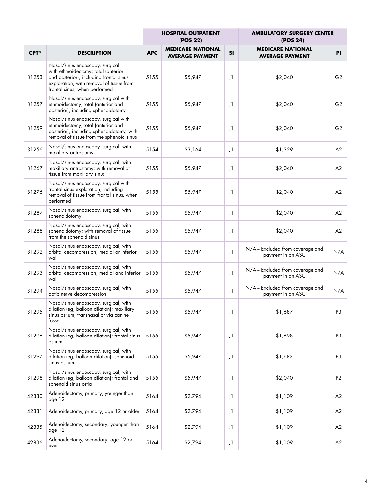|                      |                                                                                                                                                                                                |            | <b>HOSPITAL OUTPATIENT</b><br>(POS 22)             |    | <b>AMBULATORY SURGERY CENTER</b><br>(POS 24)          |                |
|----------------------|------------------------------------------------------------------------------------------------------------------------------------------------------------------------------------------------|------------|----------------------------------------------------|----|-------------------------------------------------------|----------------|
| $CPT^{\circledcirc}$ | <b>DESCRIPTION</b>                                                                                                                                                                             | <b>APC</b> | <b>MEDICARE NATIONAL</b><br><b>AVERAGE PAYMENT</b> | SI | <b>MEDICARE NATIONAL</b><br><b>AVERAGE PAYMENT</b>    | <b>PI</b>      |
| 31253                | Nasal/sinus endoscopy, surgical<br>with ethmoidectomy; total (anterior<br>and posterior), including frontal sinus<br>exploration, with removal of tissue from<br>frontal sinus, when performed | 5155       | \$5,947                                            | J1 | \$2,040                                               | G <sub>2</sub> |
| 31257                | Nasal/sinus endoscopy, surgical with<br>ethmoidectomy; total (anterior and<br>posterior), including sphenoidotomy                                                                              | 5155       | \$5,947                                            | J1 | \$2,040                                               | G <sub>2</sub> |
| 31259                | Nasal/sinus endoscopy, surgical with<br>ethmoidectomy; total (anterior and<br>posterior), including sphenoidotomy, with<br>removal of tissue from the sphenoid sinus                           | 5155       | \$5,947                                            | J1 | \$2,040                                               | G <sub>2</sub> |
| 31256                | Nasal/sinus endoscopy, surgical, with<br>maxillary antrostomy                                                                                                                                  | 5154       | \$3,164                                            | J1 | \$1,329                                               | A2             |
| 31267                | Nasal/sinus endoscopy, surgical, with<br>maxillary antrostomy; with removal of<br>tissue from maxillary sinus                                                                                  | 5155       | \$5,947                                            | J1 | \$2,040                                               | A2             |
| 31276                | Nasal/sinus endoscopy, surgical with<br>frontal sinus exploration, including<br>removal of tissue from frontal sinus, when<br>performed                                                        | 5155       | \$5,947                                            | J1 | \$2,040                                               | A2             |
| 31287                | Nasal/sinus endoscopy, surgical, with<br>sphenoidotomy                                                                                                                                         | 5155       | \$5,947                                            | J1 | \$2,040                                               | A2             |
| 31288                | Nasal/sinus endoscopy, surgical, with<br>sphenoidotomy; with removal of tissue<br>from the sphenoid sinus                                                                                      | 5155       | \$5,947                                            | J1 | \$2,040                                               | A2             |
| 31292                | Nasal/sinus endoscopy, surgical, with<br>orbital decompression; medial or inferior<br>wall                                                                                                     | 5155       | \$5,947                                            | J1 | N/A - Excluded from coverage and<br>payment in an ASC | N/A            |
| 31293                | Nasal/sinus endoscopy, surgical, with<br>orbital decompression; medial and inferior<br>wall                                                                                                    | 5155       | \$5,947                                            | J1 | N/A - Excluded from coverage and<br>payment in an ASC | N/A            |
| 31294                | Nasal/sinus endoscopy, surgical, with<br>optic nerve decompression                                                                                                                             | 5155       | \$5,947                                            | J1 | N/A - Excluded from coverage and<br>payment in an ASC | N/A            |
| 31295                | Nasal/sinus endoscopy, surgical, with<br>dilation (eg, balloon dilation); maxillary<br>sinus ostium, transnasal or via canine<br>tossa                                                         | 5155       | \$5,947                                            | J1 | \$1,687                                               | P3             |
| 31296                | Nasal/sinus endoscopy, surgical, with<br>dilation (eg, balloon dilation); frontal sinus<br>ostium                                                                                              | 5155       | \$5,947                                            | J1 | \$1,698                                               | P3             |
| 31297                | Nasal/sinus endoscopy, surgical, with<br>dilation (eg, balloon dilation); sphenoid<br>sinus ostium                                                                                             | 5155       | \$5,947                                            | J1 | \$1,683                                               | P <sub>3</sub> |
| 31298                | Nasal/sinus endoscopy, surgical, with<br>dilation (eg, balloon dilation); frontal and<br>sphenoid sinus ostia                                                                                  | 5155       | \$5,947                                            | J1 | \$2,040                                               | P <sub>2</sub> |
| 42830                | Adenoidectomy, primary; younger than<br>age 12                                                                                                                                                 | 5164       | \$2,794                                            | J1 | \$1,109                                               | A2             |
| 42831                | Adenoidectomy, primary; age 12 or older                                                                                                                                                        | 5164       | \$2,794                                            | J1 | \$1,109                                               | A2             |
| 42835                | Adenoidectomy, secondary; younger than<br>age 12                                                                                                                                               | 5164       | \$2,794                                            | J1 | \$1,109                                               | A2             |
| 42836                | Adenoidectomy, secondary; age 12 or<br>over                                                                                                                                                    | 5164       | \$2,794                                            | J1 | \$1,109                                               | A2             |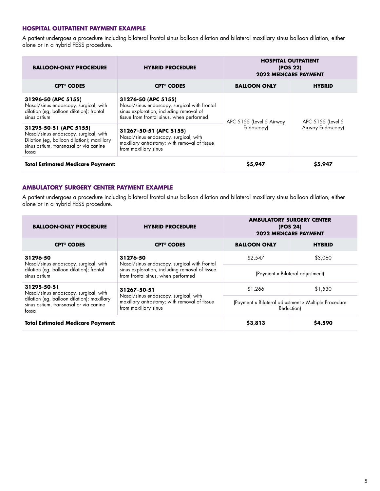### **HOSPITAL OUTPATIENT PAYMENT EXAMPLE**

A patient undergoes a procedure including bilateral frontal sinus balloon dilation and bilateral maxillary sinus balloon dilation, either alone or in a hybrid FESS procedure.

| <b>BALLOON-ONLY PROCEDURE</b>                                                                                                                                    | <b>HYBRID PROCEDURE</b>                                                                                                                                     | <b>HOSPITAL OUTPATIENT</b><br>(POS 22)<br><b>2022 MEDICARE PAYMENT</b> |                   |  |  |
|------------------------------------------------------------------------------------------------------------------------------------------------------------------|-------------------------------------------------------------------------------------------------------------------------------------------------------------|------------------------------------------------------------------------|-------------------|--|--|
| <b>CPT<sup>®</sup> CODES</b>                                                                                                                                     | <b>CPT<sup>®</sup> CODES</b>                                                                                                                                | <b>BALLOON ONLY</b>                                                    | <b>HYBRID</b>     |  |  |
| 31296-50 (APC 5155)<br>Nasal/sinus endoscopy, surgical, with<br>dilation (eg, balloon dilation); frontal<br>sinus ostium                                         | 31276-50 (APC 5155)<br>Nasal/sinus endoscopy, surgical with frontal<br>sinus exploration, including removal of<br>tissue from frontal sinus, when performed | APC 5155 (Level 5 Airway                                               | APC 5155 (Level 5 |  |  |
| 31295-50-51 (APC 5155)<br>Nasal/sinus endoscopy, surgical, with<br>Dilation (eg, balloon dilation); maxillary<br>sinus ostium, transnasal or via canine<br>tossa | 31267-50-51 (APC 5155)<br>Nasal/sinus endoscopy, surgical, with<br>maxillary antrostomy; with removal of tissue<br>from maxillary sinus                     | Endoscopy)                                                             | Airway Endoscopy) |  |  |
| <b>Total Estimated Medicare Payment:</b>                                                                                                                         |                                                                                                                                                             | \$5,947                                                                | \$5,947           |  |  |

### **AMBULATORY SURGERY CENTER PAYMENT EXAMPLE**

A patient undergoes a procedure including bilateral frontal sinus balloon dilation and bilateral maxillary sinus balloon dilation, either alone or in a hybrid FESS procedure.

| <b>BALLOON-ONLY PROCEDURE</b>                                                                 | <b>HYBRID PROCEDURE</b>                                                                                       | <b>AMBULATORY SURGERY CENTER</b><br>(POS 24)<br><b>2022 MEDICARE PAYMENT</b> |               |  |  |
|-----------------------------------------------------------------------------------------------|---------------------------------------------------------------------------------------------------------------|------------------------------------------------------------------------------|---------------|--|--|
| <b>CPT<sup>®</sup> CODES</b>                                                                  | <b>CPT<sup>®</sup> CODES</b>                                                                                  | <b>BALLOON ONLY</b>                                                          | <b>HYBRID</b> |  |  |
| 31296-50<br>Nasal/sinus endoscopy, surgical, with                                             | 31276-50<br>\$2,547<br>\$3,060<br>Nasal/sinus endoscopy, surgical with frontal                                |                                                                              |               |  |  |
| dilation (eg, balloon dilation); frontal<br>sinus ostium                                      | sinus exploration, including removal of tissue<br>from frontal sinus, when performed                          | (Payment x Bilateral adjustment)                                             |               |  |  |
| 31295-50-51<br>Nasal/sinus endoscopy, surgical, with                                          | 31267-50-51                                                                                                   |                                                                              | \$1.530       |  |  |
| dilation (eg, balloon dilation); maxillary<br>sinus ostium, transnasal or via canine<br>tossa | Nasal/sinus endoscopy, surgical, with<br>maxillary antrostomy; with removal of tissue<br>from maxillary sinus | (Payment x Bilateral adjustment x Multiple Procedure<br>Reduction)           |               |  |  |
| <b>Total Estimated Medicare Payment:</b>                                                      |                                                                                                               | \$3,813                                                                      | \$4,590       |  |  |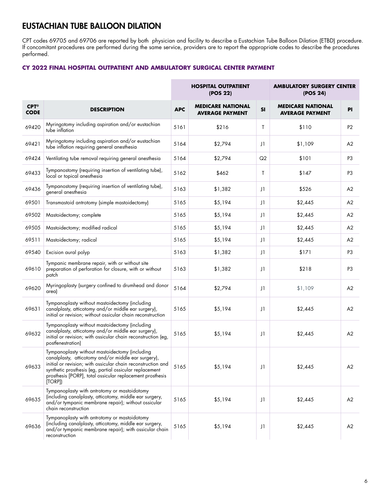# EUSTACHIAN TUBE BALLOON DILATION

CPT codes 69705 and 69706 are reported by both physician and facility to describe a Eustachian Tube Balloon Dilation (ETBD) procedure. If concomitant procedures are performed during the same service, providers are to report the appropriate codes to describe the procedures performed.

## **CY 2022 FINAL HOSPITAL OUTPATIENT AND AMBULATORY SURGICAL CENTER PAYMENT**

|                                     |                                                                                                                                                                                                                                                                                                          | <b>HOSPITAL OUTPATIENT</b><br>(POS 22) |                                                    |    | <b>AMBULATORY SURGERY CENTER</b><br>(POS 24)       |                |  |  |
|-------------------------------------|----------------------------------------------------------------------------------------------------------------------------------------------------------------------------------------------------------------------------------------------------------------------------------------------------------|----------------------------------------|----------------------------------------------------|----|----------------------------------------------------|----------------|--|--|
| $CPT^{\circledcirc}$<br><b>CODE</b> | <b>DESCRIPTION</b>                                                                                                                                                                                                                                                                                       | <b>APC</b>                             | <b>MEDICARE NATIONAL</b><br><b>AVERAGE PAYMENT</b> | SI | <b>MEDICARE NATIONAL</b><br><b>AVERAGE PAYMENT</b> | <b>PI</b>      |  |  |
| 69420                               | Myringotomy including aspiration and/or eustachian<br>tube inflation                                                                                                                                                                                                                                     | 5161                                   | \$216                                              | T  | \$110                                              | P <sub>2</sub> |  |  |
| 69421                               | Myringotomy including aspiration and/or eustachian<br>tube inflation requiring general anesthesia                                                                                                                                                                                                        | 5164                                   | \$2,794                                            | J1 | \$1,109                                            | A2             |  |  |
| 69424                               | Ventilating tube removal requiring general anesthesia                                                                                                                                                                                                                                                    | 5164                                   | \$2,794                                            | Q2 | \$101                                              | P3             |  |  |
| 69433                               | Tympanostomy (requiring insertion of ventilating tube),<br>local or topical anesthesia                                                                                                                                                                                                                   | 5162                                   | \$462                                              | T  | \$147                                              | P3             |  |  |
| 69436                               | Tympanostomy (requiring insertion of ventilating tube),<br>general anesthesia                                                                                                                                                                                                                            | 5163                                   | \$1,382                                            | J1 | \$526                                              | A2             |  |  |
| 69501                               | Transmastoid antrotomy (simple mastoidectomy)                                                                                                                                                                                                                                                            | 5165                                   | \$5,194                                            | J1 | \$2,445                                            | A2             |  |  |
| 69502                               | Mastoidectomy; complete                                                                                                                                                                                                                                                                                  | 5165                                   | \$5,194                                            | J1 | \$2,445                                            | A2             |  |  |
| 69505                               | Mastoidectomy; modified radical                                                                                                                                                                                                                                                                          | 5165                                   | \$5,194                                            | J1 | \$2,445                                            | A2             |  |  |
| 69511                               | Mastoidectomy; radical                                                                                                                                                                                                                                                                                   | 5165                                   | \$5,194                                            | J1 | \$2,445                                            | A2             |  |  |
| 69540                               | Excision aural polyp                                                                                                                                                                                                                                                                                     | 5163                                   | \$1,382                                            | J1 | \$171                                              | P <sub>3</sub> |  |  |
| 69610                               | Tympanic membrane repair, with or without site<br>preparation of perforation for closure, with or without<br>patch                                                                                                                                                                                       | 5163                                   | \$1,382                                            | J1 | \$218                                              | P <sub>3</sub> |  |  |
| 69620                               | Myringoplasty (surgery confined to drumhead and donor<br>area)                                                                                                                                                                                                                                           | 5164                                   | \$2,794                                            | J1 | \$1,109                                            | A2             |  |  |
| 69631                               | Tympanoplasty without mastoidectomy (including<br>canalplasty, atticotomy and/or middle ear surgery),<br>initial or revision; without ossicular chain reconstruction                                                                                                                                     | 5165                                   | \$5,194                                            | J1 | \$2,445                                            | A2             |  |  |
| 69632                               | Tympanoplasty without mastoidectomy (including<br>canalplasty, atticotomy and/or middle ear surgery),<br>initial or revision; with ossicular chain reconstruction (eg,<br>postfenestration)                                                                                                              | 5165                                   | \$5,194                                            | J1 | \$2,445                                            | A <sub>2</sub> |  |  |
| 69633                               | Tympanoplasty without mastoidectomy (including<br>canalplasty, atticotomy and/or middle ear surgery),<br>initial or revision; with ossicular chain reconstruction and<br>synthetic prosthesis (eg, partial ossicular replacement<br>prosthesis [PORP], total ossicular replacement prosthesis<br>[TORP]) | 5165                                   | \$5,194                                            | J1 | \$2,445                                            | A <sub>2</sub> |  |  |
| 69635                               | Tympanoplasty with antrotomy or mastoidotomy<br>(including canalplasty, atticotomy, middle ear surgery,<br>and/or tympanic membrane repair); without ossicular<br>chain reconstruction                                                                                                                   | 5165                                   | \$5,194                                            | J1 | \$2,445                                            | A2             |  |  |
| 69636                               | Tympanoplasty with antrotomy or mastoidotomy<br>(including canalplasty, atticotomy, middle ear surgery,<br>and/or tympanic membrane repair); with ossicular chain<br>reconstruction                                                                                                                      | 5165                                   | \$5,194                                            | J1 | \$2,445                                            | A2             |  |  |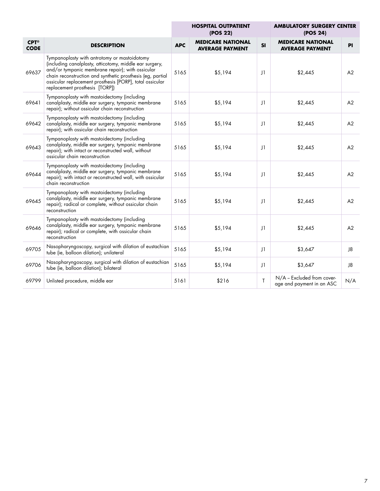|                                     |                                                                                                                                                                                                                                                                                                                         |            | <b>HOSPITAL OUTPATIENT</b><br>(POS 22)             |             | <b>AMBULATORY SURGERY CENTER</b><br>(POS 24)            |           |
|-------------------------------------|-------------------------------------------------------------------------------------------------------------------------------------------------------------------------------------------------------------------------------------------------------------------------------------------------------------------------|------------|----------------------------------------------------|-------------|---------------------------------------------------------|-----------|
| $CPT^{\circledcirc}$<br><b>CODE</b> | <b>DESCRIPTION</b>                                                                                                                                                                                                                                                                                                      | <b>APC</b> | <b>MEDICARE NATIONAL</b><br><b>AVERAGE PAYMENT</b> | <b>SI</b>   | <b>MEDICARE NATIONAL</b><br><b>AVERAGE PAYMENT</b>      | <b>PI</b> |
| 69637                               | Tympanoplasty with antrotomy or mastoidotomy<br>(including canalplasty, atticotomy, middle ear surgery,<br>and/or tympanic membrane repair); with ossicular<br>chain reconstruction and synthetic prosthesis (eg, partial<br>ossicular replacement prosthesis [PORP], total ossicular<br>replacement prosthesis [TORP]) | 5165       | \$5,194                                            | J1          | \$2,445                                                 | A2        |
| 69641                               | Tympanoplasty with mastoidectomy (including<br>canalplasty, middle ear surgery, tympanic membrane<br>repair); without ossicular chain reconstruction                                                                                                                                                                    | 5165       | \$5,194                                            | J1          | \$2,445                                                 | A2        |
| 69642                               | Tympanoplasty with mastoidectomy (including<br>canalplasty, middle ear surgery, tympanic membrane<br>repair); with ossicular chain reconstruction                                                                                                                                                                       | 5165       | \$5,194                                            | J1          | \$2,445                                                 | A2        |
| 69643                               | Tympanoplasty with mastoidectomy (including<br>canalplasty, middle ear surgery, tympanic membrane<br>repair); with intact or reconstructed wall, without<br>ossicular chain reconstruction                                                                                                                              | 5165       | \$5,194                                            | J1          | \$2,445                                                 | A2        |
| 69644                               | Tympanoplasty with mastoidectomy (including<br>canalplasty, middle ear surgery, tympanic membrane<br>repair); with intact or reconstructed wall, with ossicular<br>chain reconstruction                                                                                                                                 | 5165       | \$5,194                                            | J1          | \$2,445                                                 | A2        |
| 69645                               | Tympanoplasty with mastoidectomy (including<br>canalplasty, middle ear surgery, tympanic membrane<br>repair); radical or complete, without ossicular chain<br>reconstruction                                                                                                                                            | 5165       | \$5,194                                            | J1          | \$2,445                                                 | A2        |
| 69646                               | Tympanoplasty with mastoidectomy (including<br>canalplasty, middle ear surgery, tympanic membrane<br>repair); radical or complete, with ossicular chain<br>reconstruction                                                                                                                                               | 5165       | \$5,194                                            | J1          | \$2,445                                                 | A2        |
| 69705                               | Nasopharyngoscopy, surgical with dilation of eustachian<br>tube (ie, balloon dilation); unilateral                                                                                                                                                                                                                      | 5165       | \$5,194                                            | $_{\rm J1}$ | \$3,647                                                 | J8        |
| 69706                               | Nasopharyngoscopy, surgical with dilation of eustachian<br>tube (ie, balloon dilation); bilateral                                                                                                                                                                                                                       | 5165       | \$5,194                                            | J1          | \$3,647                                                 | J8        |
| 69799                               | Unlisted procedure, middle ear                                                                                                                                                                                                                                                                                          | 5161       | \$216                                              | T           | N/A - Excluded from cover-<br>age and payment in an ASC | N/A       |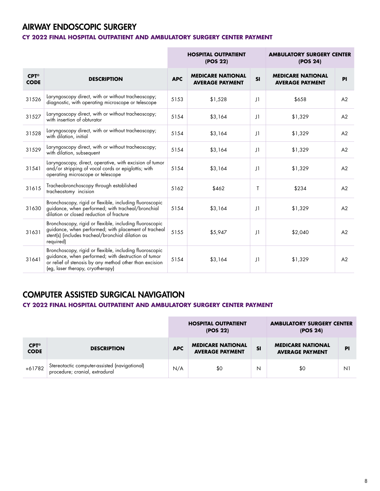# AIRWAY ENDOSCOPIC SURGERY

## **CY 2022 FINAL HOSPITAL OUTPATIENT AND AMBULATORY SURGERY CENTER PAYMENT**

|                                     | <b>HOSPITAL OUTPATIENT</b><br><b>AMBULATORY SURGERY CENTER</b><br>(POS 22)<br>(POS 24)                                                                                                                        |            |                                                    |              |                                                    |    |
|-------------------------------------|---------------------------------------------------------------------------------------------------------------------------------------------------------------------------------------------------------------|------------|----------------------------------------------------|--------------|----------------------------------------------------|----|
| $CPT^{\circledcirc}$<br><b>CODE</b> | <b>DESCRIPTION</b>                                                                                                                                                                                            | <b>APC</b> | <b>MEDICARE NATIONAL</b><br><b>AVERAGE PAYMENT</b> | SI           | <b>MEDICARE NATIONAL</b><br><b>AVERAGE PAYMENT</b> | PI |
| 31526                               | Laryngoscopy direct, with or without tracheoscopy;<br>diagnostic, with operating microscope or telescope                                                                                                      | 5153       | \$1,528                                            | $_{\rm J1}$  | \$658                                              | A2 |
| 31527                               | Laryngoscopy direct, with or without tracheoscopy;<br>with insertion of obturator                                                                                                                             | 5154       | \$3,164                                            | $\vert$ 1    | \$1,329                                            | A2 |
| 31528                               | Laryngoscopy direct, with or without tracheoscopy;<br>with dilation, initial                                                                                                                                  | 5154       | \$3,164                                            | $_{\rm J1}$  | \$1,329                                            | A2 |
| 31529                               | Laryngoscopy direct, with or without tracheoscopy;<br>with dilation, subsequent                                                                                                                               | 5154       | \$3,164                                            | $_{\rm J1}$  | \$1,329                                            | A2 |
| 31541                               | Laryngoscopy, direct, operative, with excision of tumor<br>and/or stripping of vocal cords or epiglottis; with<br>operating microscope or telescope                                                           | 5154       | \$3,164                                            | $_{\rm J1}$  | \$1,329                                            | A2 |
| 31615                               | Tracheobronchoscopy through established<br>tracheostomy incision                                                                                                                                              | 5162       | \$462                                              | $\mathsf{T}$ | \$234                                              | A2 |
| 31630                               | Bronchoscopy, rigid or flexible, including fluoroscopic<br>guidance, when performed; with tracheal/bronchial<br>dilation or closed reduction of fracture                                                      | 5154       | \$3,164                                            | $_{\rm J1}$  | \$1,329                                            | A2 |
| 31631                               | Bronchoscopy, rigid or flexible, including fluoroscopic<br>guidance, when performed; with placement of tracheal<br>stent(s) (includes tracheal/bronchial dilation as<br>required)                             | 5155       | \$5,947                                            | $\vert$      | \$2,040                                            | A2 |
| 31641                               | Bronchoscopy, rigid or flexible, including fluoroscopic<br>guidance, when performed; with destruction of tumor<br>or relief of stenosis by any method other than excision<br>(eg, laser therapy, cryotherapy) | 5154       | \$3,164                                            | J1           | \$1,329                                            | A2 |

# COMPUTER ASSISTED SURGICAL NAVIGATION

## **CY 2022 FINAL HOSPITAL OUTPATIENT AND AMBULATORY SURGERY CENTER PAYMENT**

|                                     |                                                                                 | <b>HOSPITAL OUTPATIENT</b><br>(POS 22) |                                                    |           | <b>AMBULATORY SURGERY CENTER</b><br>(POS 24)       |    |  |
|-------------------------------------|---------------------------------------------------------------------------------|----------------------------------------|----------------------------------------------------|-----------|----------------------------------------------------|----|--|
| $CPT^{\circledcirc}$<br><b>CODE</b> | <b>DESCRIPTION</b>                                                              | <b>APC</b>                             | <b>MEDICARE NATIONAL</b><br><b>AVERAGE PAYMENT</b> | <b>SI</b> | <b>MEDICARE NATIONAL</b><br><b>AVERAGE PAYMENT</b> | P  |  |
| +61782                              | Stereotactic computer-assisted (navigational)<br>procedure; cranial, extradural | N/A                                    | \$0                                                | N         | \$0                                                | N. |  |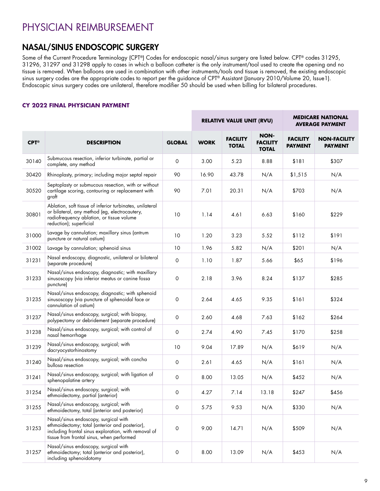# PHYSICIAN REIMBURSEMENT

# NASAL/SINUS ENDOSCOPIC SURGERY

Some of the Current Procedure Terminology (CPT®) Codes for endoscopic nasal/sinus surgery are listed below. CPT® codes 31295, 31296, 31297 and 31298 apply to cases in which a balloon catheter is the only instrument/tool used to create the opening and no tissue is removed. When balloons are used in combination with other instruments/tools and tissue is removed, the existing endoscopic sinus surgery codes are the appropriate codes to report per the guidance of CPT® Assistant (January 2010/Volume 20, Issue1). Endoscopic sinus surgery codes are unilateral, therefore modifier 50 should be used when billing for bilateral procedures.

### **CY 2022 FINAL PHYSICIAN PAYMENT**

|                      |                                                                                                                                                                                             |                     | <b>RELATIVE VALUE UNIT (RVU)</b> |                                 |                                                | <b>MEDICARE NATIONAL</b><br><b>AVERAGE PAYMENT</b> |                                       |  |
|----------------------|---------------------------------------------------------------------------------------------------------------------------------------------------------------------------------------------|---------------------|----------------------------------|---------------------------------|------------------------------------------------|----------------------------------------------------|---------------------------------------|--|
| $CPT^{\circledcirc}$ | <b>DESCRIPTION</b>                                                                                                                                                                          | <b>GLOBAL</b>       | <b>WORK</b>                      | <b>FACILITY</b><br><b>TOTAL</b> | <b>NON-</b><br><b>FACILITY</b><br><b>TOTAL</b> | <b>FACILITY</b><br><b>PAYMENT</b>                  | <b>NON-FACILITY</b><br><b>PAYMENT</b> |  |
| 30140                | Submucous resection, inferior turbinate, partial or<br>complete, any method                                                                                                                 | 0                   | 3.00                             | 5.23                            | 8.88                                           | \$181                                              | \$307                                 |  |
| 30420                | Rhinoplasty, primary; including major septal repair                                                                                                                                         | 90                  | 16.90                            | 43.78                           | N/A                                            | \$1,515                                            | N/A                                   |  |
| 30520                | Septoplasty or submucous resection, with or without<br>cartilage scoring, contouring or replacement with<br>graft                                                                           | 90                  | 7.01                             | 20.31                           | N/A                                            | \$703                                              | N/A                                   |  |
| 30801                | Ablation, soft tissue of inferior turbinates, unilateral<br>or bilateral, any method (eg, electrocautery,<br>radiofrequency ablation, or tissue volume<br>reduction); superficial           | 10                  | 1.14                             | 4.61                            | 6.63                                           | \$160                                              | \$229                                 |  |
| 31000                | Lavage by cannulation; maxillary sinus (antrum<br>puncture or natural ostium)                                                                                                               | 10                  | 1.20                             | 3.23                            | 5.52                                           | \$112                                              | \$191                                 |  |
| 31002                | Lavage by cannulation; sphenoid sinus                                                                                                                                                       | 10                  | 1.96                             | 5.82                            | N/A                                            | \$201                                              | N/A                                   |  |
| 31231                | Nasal endoscopy, diagnostic, unilateral or bilateral<br>(separate procedure)                                                                                                                | $\mathbf 0$         | 1.10                             | 1.87                            | 5.66                                           | \$65                                               | \$196                                 |  |
| 31233                | Nasal/sinus endoscopy, diagnostic; with maxillary<br>sinusoscopy (via inferior meatus or canine fossa<br>puncture)                                                                          | 0                   | 2.18                             | 3.96                            | 8.24                                           | \$137                                              | \$285                                 |  |
| 31235                | Nasal/sinus endoscopy, diagnostic; with sphenoid<br>sinusoscopy (via puncture of sphenoidal face or<br>cannulation of ostium)                                                               | 0                   | 2.64                             | 4.65                            | 9.35                                           | \$161                                              | \$324                                 |  |
| 31237                | Nasal/sinus endoscopy, surgical; with biopsy,<br>polypectomy or debridement (separate procedure)                                                                                            | 0                   | 2.60                             | 4.68                            | 7.63                                           | \$162                                              | \$264                                 |  |
| 31238                | Nasal/sinus endoscopy, surgical; with control of<br>nasal hemorrhage                                                                                                                        | 0                   | 2.74                             | 4.90                            | 7.45                                           | \$170                                              | \$258                                 |  |
| 31239                | Nasal/sinus endoscopy, surgical; with<br>dacryocystorhinostomy                                                                                                                              | 10                  | 9.04                             | 17.89                           | N/A                                            | \$619                                              | N/A                                   |  |
| 31240                | Nasal/sinus endoscopy, surgical; with concha<br>bullosa resection                                                                                                                           | 0                   | 2.61                             | 4.65                            | N/A                                            | \$161                                              | N/A                                   |  |
| 31241                | Nasal/sinus endoscopy, surgical; with ligation of<br>sphenopalatine artery                                                                                                                  | $\mathbf 0$         | 8.00                             | 13.05                           | N/A                                            | \$452                                              | N/A                                   |  |
| 31254                | Nasal/sinus endoscopy, surgical; with<br>ethmoidectomy, partial (anterior)                                                                                                                  | 0                   | 4.27                             | 7.14                            | 13.18                                          | \$247                                              | \$456                                 |  |
| 31255                | Nasal/sinus endoscopy, surgical; with<br>ethmoidectomy, total (anterior and posterior)                                                                                                      | 0                   | 5.75                             | 9.53                            | N/A                                            | \$330                                              | N/A                                   |  |
| 31253                | Nasal/sinus endoscopy, surgical with<br>ethmoidectomy; total (anterior and posterior),<br>including frontal sinus exploration, with removal of<br>tissue from frontal sinus, when performed | $\mathsf{O}\xspace$ | 9.00                             | 14.71                           | N/A                                            | \$509                                              | N/A                                   |  |
| 31257                | Nasal/sinus endoscopy, surgical with<br>ethmoidectomy; total (anterior and posterior),<br>including sphenoidotomy                                                                           | $\mathsf{O}\xspace$ | 8.00                             | 13.09                           | N/A                                            | \$453                                              | N/A                                   |  |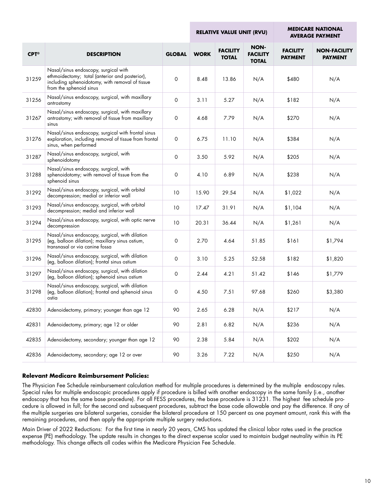|                      |                                                                                                                                                                      |               |             | <b>RELATIVE VALUE UNIT (RVU)</b> |                                         |                                   | <b>MEDICARE NATIONAL</b><br><b>AVERAGE PAYMENT</b> |  |
|----------------------|----------------------------------------------------------------------------------------------------------------------------------------------------------------------|---------------|-------------|----------------------------------|-----------------------------------------|-----------------------------------|----------------------------------------------------|--|
| $CPT^{\circledcirc}$ | <b>DESCRIPTION</b>                                                                                                                                                   | <b>GLOBAL</b> | <b>WORK</b> | <b>FACILITY</b><br><b>TOTAL</b>  | NON-<br><b>FACILITY</b><br><b>TOTAL</b> | <b>FACILITY</b><br><b>PAYMENT</b> | <b>NON-FACILITY</b><br><b>PAYMENT</b>              |  |
| 31259                | Nasal/sinus endoscopy, surgical with<br>ethmoidectomy; total (anterior and posterior),<br>including sphenoidotomy, with removal of tissue<br>from the sphenoid sinus | $\mathbf 0$   | 8.48        | 13.86                            | N/A                                     | \$480                             | N/A                                                |  |
| 31256                | Nasal/sinus endoscopy, surgical, with maxillary<br>antrostomy                                                                                                        | $\mathsf O$   | 3.11        | 5.27                             | N/A                                     | \$182                             | N/A                                                |  |
| 31267                | Nasal/sinus endoscopy, surgical, with maxillary<br>antrostomy; with removal of tissue from maxillary<br>sinus                                                        | $\mathsf O$   | 4.68        | 7.79                             | N/A                                     | \$270                             | N/A                                                |  |
| 31276                | Nasal/sinus endoscopy, surgical with frontal sinus<br>exploration, including removal of tissue from frontal<br>sinus, when performed                                 | $\mathsf O$   | 6.75        | 11.10                            | N/A                                     | \$384                             | N/A                                                |  |
| 31287                | Nasal/sinus endoscopy, surgical, with<br>sphenoidotomy                                                                                                               | $\mathsf O$   | 3.50        | 5.92                             | N/A                                     | \$205                             | N/A                                                |  |
| 31288                | Nasal/sinus endoscopy, surgical, with<br>sphenoidotomy; with removal of tissue from the<br>sphenoid sinus                                                            | $\mathsf O$   | 4.10        | 6.89                             | N/A                                     | \$238                             | N/A                                                |  |
| 31292                | Nasal/sinus endoscopy, surgical, with orbital<br>decompression; medial or inferior wall                                                                              | 10            | 15.90       | 29.54                            | N/A                                     | \$1,022                           | N/A                                                |  |
| 31293                | Nasal/sinus endoscopy, surgical, with orbital<br>decompression; medial and inferior wall                                                                             | 10            | 17.47       | 31.91                            | N/A                                     | \$1,104                           | N/A                                                |  |
| 31294                | Nasal/sinus endoscopy, surgical, with optic nerve<br>decompression                                                                                                   | 10            | 20.31       | 36.44                            | N/A                                     | \$1,261                           | N/A                                                |  |
| 31295                | Nasal/sinus endoscopy, surgical, with dilation<br>(eg, balloon dilation); maxillary sinus ostium,<br>transnasal or via canine fossa                                  | $\mathsf O$   | 2.70        | 4.64                             | 51.85                                   | \$161                             | \$1,794                                            |  |
| 31296                | Nasal/sinus endoscopy, surgical, with dilation<br>(eg, balloon dilation); frontal sinus ostium                                                                       | $\mathbf 0$   | 3.10        | 5.25                             | 52.58                                   | \$182                             | \$1,820                                            |  |
| 31297                | Nasal/sinus endoscopy, surgical, with dilation<br>(eg, balloon dilation); sphenoid sinus ostium                                                                      | $\mathsf O$   | 2.44        | 4.21                             | 51.42                                   | \$146                             | \$1,779                                            |  |
| 31298                | Nasal/sinus endoscopy, surgical, with dilation<br>(eg, balloon dilation); frontal and sphenoid sinus<br>ostia                                                        | 0             | 4.50        | 7.51                             | 97.68                                   | \$260                             | \$3,380                                            |  |
| 42830                | Adenoidectomy, primary; younger than age 12                                                                                                                          | 90            | 2.65        | 6.28                             | N/A                                     | \$217                             | N/A                                                |  |
| 42831                | Adenoidectomy, primary; age 12 or older                                                                                                                              | 90            | 2.81        | 6.82                             | N/A                                     | \$236                             | N/A                                                |  |
| 42835                | Adenoidectomy, secondary; younger than age 12                                                                                                                        | 90            | 2.38        | 5.84                             | N/A                                     | \$202                             | N/A                                                |  |
| 42836                | Adenoidectomy, secondary; age 12 or over                                                                                                                             | 90            | 3.26        | 7.22                             | N/A                                     | \$250                             | N/A                                                |  |

#### **Relevant Medicare Reimbursement Policies:**

The Physician Fee Schedule reimbursement calculation method for multiple procedures is determined by the multiple endoscopy rules. Special rules for multiple endoscopic procedures apply if procedure is billed with another endoscopy in the same family (i.e., another endoscopy that has the same base procedure). For all FESS procedures, the base procedure is 31231. The highest fee schedule procedure is allowed in full; for the second and subsequent procedures, subtract the base code allowable and pay the difference. If any of the multiple surgeries are bilateral surgeries, consider the bilateral procedure at 150 percent as one payment amount, rank this with the remaining procedures, and then apply the appropriate multiple surgery reductions.

Main Driver of 2022 Reductions: For the first time in nearly 20 years, CMS has updated the clinical labor rates used in the practice expense (PE) methodology. The update results in changes to the direct expense scalar used to maintain budget neutrality within its PE methodology. This change affects all codes within the Medicare Physician Fee Schedule.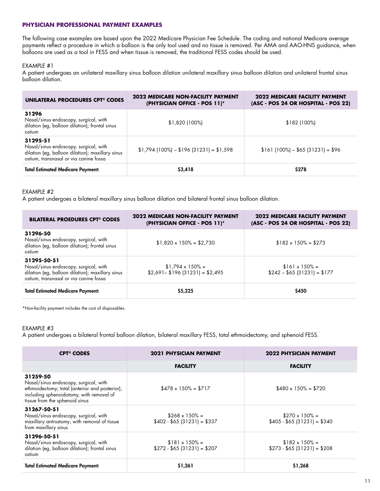#### **PHYSICIAN PROFESSIONAL PAYMENT EXAMPLES**

The following case examples are based upon the 2022 Medicare Physician Fee Schedule. The coding and national Medicare average payments reflect a procedure in which a balloon is the only tool used and no tissue is removed. Per AMA and AAO-HNS guidance, when balloons are used as a tool in FESS and when tissue is removed, the traditional FESS codes should be used.

#### EXAMPLE #1

A patient undergoes an unilateral maxillary sinus balloon dilation unilateral maxillary sinus balloon dilation and unilateral frontal sinus balloon dilation.

| <b>UNILATERAL PROCEDURES CPT<sup>®</sup> CODES</b>                                                                                              | <b>2022 MEDICARE NON-FACILITY PAYMENT</b><br>(PHYSICIAN OFFICE - POS 11)* | <b>2022 MEDICARE FACILITY PAYMENT</b><br>(ASC - POS 24 OR HOSPITAL - POS 22) |
|-------------------------------------------------------------------------------------------------------------------------------------------------|---------------------------------------------------------------------------|------------------------------------------------------------------------------|
| 31296<br>Nasal/sinus endoscopy, surgical, with<br>dilation (eg, balloon dilation); frontal sinus<br>ostium                                      | $$1,820$ (100%)                                                           | \$182(100%)                                                                  |
| 31295-51<br>Nasal/sinus endoscopy, surgical, with<br>dilation (eg, balloon dilation); maxillary sinus<br>ostium, transnasal or via canine fossa | $$1,794$ (100%) - \$196 (31231) = \$1,598                                 | $$161 (100\%) - $65 (31231) = $96$                                           |
| <b>Total Estimated Medicare Payment:</b>                                                                                                        | \$3,418                                                                   | \$278                                                                        |

#### EXAMPLE #2

A patient undergoes a bilateral maxillary sinus balloon dilation and bilateral frontal sinus balloon dilation.

| <b>BILATERAL PROEDURES CPT<sup>®</sup> CODES</b>                                                                                                   | <b>2022 MEDICARE NON-FACILITY PAYMENT</b><br>(PHYSICIAN OFFICE - POS 11)* | <b>2022 MEDICARE FACILITY PAYMENT</b><br>(ASC - POS 24 OR HOSPITAL - POS 22) |
|----------------------------------------------------------------------------------------------------------------------------------------------------|---------------------------------------------------------------------------|------------------------------------------------------------------------------|
| 31296-50<br>Nasal/sinus endoscopy, surgical, with<br>dilation (eg, balloon dilation); frontal sinus<br>ostium                                      | $$1,820 \times 150\% = $2,730$                                            | $$182 \times 150\% = $273$                                                   |
| 31295-50-51<br>Nasal/sinus endoscopy, surgical, with<br>dilation (eg, balloon dilation); maxillary sinus<br>ostium, transnasal or via canine fossa | $$1,794 \times 150\% =$<br>$$2,691 - $196 (31231) = $2,495$               | $$161 \times 150\% =$<br>$$242 - $65 (31231) = $177$                         |
| <b>Total Estimated Medicare Payment:</b>                                                                                                           | \$5,225                                                                   | \$450                                                                        |

\*Non-facility payment includes the cost of disposables.

#### EXAMPLE #3

A patient undergoes a bilateral frontal balloon dilation, bilateral maxillary FESS, total ethmoidectomy, and sphenoid FESS.

| <b>CPT<sup>®</sup> CODES</b>                                                                                                                                                      | <b>2021 PHYSICIAN PAYMENT</b>                        | <b>2022 PHYSICIAN PAYMENT</b>                        |
|-----------------------------------------------------------------------------------------------------------------------------------------------------------------------------------|------------------------------------------------------|------------------------------------------------------|
|                                                                                                                                                                                   | <b>FACILITY</b>                                      | <b>FACILITY</b>                                      |
| 31259-50<br>Nasal/sinus endoscopy, surgical, with<br>ethmoidectomy; total (anterior and posterior),<br>including sphenoidotomy, with removal of<br>tissue from the sphenoid sinus | $$478 \times 150\% = $717$                           | $$480 \times 150\% = $720$                           |
| 31267-50-51<br>Nasal/sinus endoscopy, surgical, with<br>maxillary antrostomy; with removal of tissue<br>from maxillary sinus                                                      | $$268 \times 150\% =$<br>$$402 - $65 (31231) = $337$ | $$270 \times 150\% =$<br>$$405 - $65 (31231) = $340$ |
| 31296-50-51<br>Nasal/sinus endoscopy, surgical, with<br>dilation (eg, balloon dilation); frontal sinus<br>ostium                                                                  | $$181 \times 150\% =$<br>$$272 - $65 (31231) = $207$ | $$182 \times 150\% =$<br>$$273 - $65 (31231) = $208$ |
| <b>Total Estimated Medicare Payment:</b>                                                                                                                                          | \$1,261                                              | \$1,268                                              |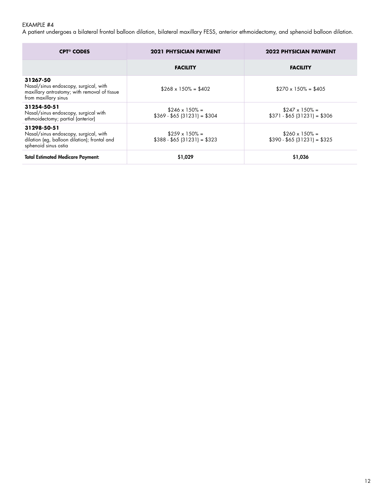# EXAMPLE #4

A patient undergoes a bilateral frontal balloon dilation, bilateral maxillary FESS, anterior ethmoidectomy, and sphenoid balloon dilation.

| <b>CPT<sup>®</sup> CODES</b>                                                                                                 | 2021 PHYSICIAN PAYMENT                               | <b>2022 PHYSICIAN PAYMENT</b>                        |
|------------------------------------------------------------------------------------------------------------------------------|------------------------------------------------------|------------------------------------------------------|
|                                                                                                                              | <b>FACILITY</b>                                      | <b>FACILITY</b>                                      |
| 31267-50<br>Nasal/sinus endoscopy, surgical, with<br>maxillary antrostomy; with removal of tissue<br>from maxillary sinus    | $$268 \times 150\% = $402$                           | $$270 \times 150\% = $405$                           |
| 31254-50-51<br>Nasal/sinus endoscopy, surgical with<br>ethmoidectomy; partial (anterior)                                     | $$246 \times 150\% =$<br>$$369 - $65 (31231) = $304$ | $$247 \times 150\% =$<br>$$371 - $65 (31231) = $306$ |
| 31298-50-51<br>Nasal/sinus endoscopy, surgical, with<br>dilation (eg, balloon dilation); frontal and<br>sphenoid sinus ostia | $$259 \times 150\% =$<br>$$388 - $65 (31231) = $323$ | $$260 \times 150\% =$<br>$$390 - $65 (31231) = $325$ |
| <b>Total Estimated Medicare Payment:</b>                                                                                     | \$1,029                                              | \$1,036                                              |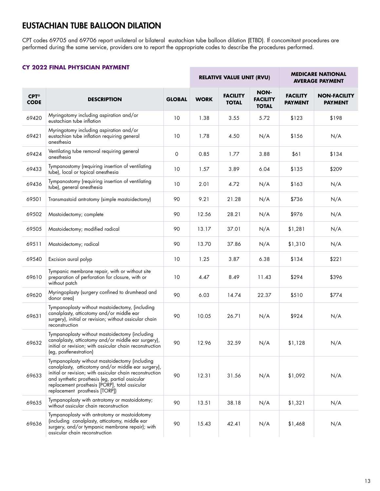# EUSTACHIAN TUBE BALLOON DILATION

CPT codes 69705 and 69706 report unilateral or bilateral eustachian tube balloon dilation (ETBD). If concomitant procedures are performed during the same service, providers are to report the appropriate codes to describe the procedures performed.

П

### **CY 2022 FINAL PHYSICIAN PAYMENT**

|                                     |                                                                                                                                                                                                                                                                                                          |               |             | <b>RELATIVE VALUE UNIT (RVU)</b> |                                         | <b>MEDICARE NATIONAL</b><br><b>AVERAGE PAYMENT</b> |                                       |
|-------------------------------------|----------------------------------------------------------------------------------------------------------------------------------------------------------------------------------------------------------------------------------------------------------------------------------------------------------|---------------|-------------|----------------------------------|-----------------------------------------|----------------------------------------------------|---------------------------------------|
| $CPT^{\circledcirc}$<br><b>CODE</b> | <b>DESCRIPTION</b>                                                                                                                                                                                                                                                                                       | <b>GLOBAL</b> | <b>WORK</b> | <b>FACILITY</b><br><b>TOTAL</b>  | NON-<br><b>FACILITY</b><br><b>TOTAL</b> | <b>FACILITY</b><br><b>PAYMENT</b>                  | <b>NON-FACILITY</b><br><b>PAYMENT</b> |
| 69420                               | Myringotomy including aspiration and/or<br>eustachian tube inflation                                                                                                                                                                                                                                     | 10            | 1.38        | 3.55                             | 5.72                                    | \$123                                              | \$198                                 |
| 69421                               | Myringotomy including aspiration and/or<br>eustachian tube inflation requiring general<br>anesthesia                                                                                                                                                                                                     | 10            | 1.78        | 4.50                             | N/A                                     | \$156                                              | N/A                                   |
| 69424                               | Ventilating tube removal requiring general<br>anesthesia                                                                                                                                                                                                                                                 | 0             | 0.85        | 1.77                             | 3.88                                    | \$61                                               | \$134                                 |
| 69433                               | Tympanostomy (requiring insertion of ventilating<br>tube), local or topical anesthesia                                                                                                                                                                                                                   | 10            | 1.57        | 3.89                             | 6.04                                    | \$135                                              | \$209                                 |
| 69436                               | Tympanostomy (requiring insertion of ventilating<br>tube), general anesthesia                                                                                                                                                                                                                            | 10            | 2.01        | 4.72                             | N/A                                     | \$163                                              | N/A                                   |
| 69501                               | Transmastoid antrotomy (simple mastoidectomy)                                                                                                                                                                                                                                                            | 90            | 9.21        | 21.28                            | N/A                                     | \$736                                              | N/A                                   |
| 69502                               | Mastoidectomy; complete                                                                                                                                                                                                                                                                                  | 90            | 12.56       | 28.21                            | N/A                                     | \$976                                              | N/A                                   |
| 69505                               | Mastoidectomy; modified radical                                                                                                                                                                                                                                                                          | 90            | 13.17       | 37.01                            | N/A                                     | \$1,281                                            | N/A                                   |
| 69511                               | Mastoidectomy; radical                                                                                                                                                                                                                                                                                   | 90            | 13.70       | 37.86                            | N/A                                     | \$1,310                                            | N/A                                   |
| 69540                               | Excision aural polyp                                                                                                                                                                                                                                                                                     | 10            | 1.25        | 3.87                             | 6.38                                    | \$134                                              | \$221                                 |
| 69610                               | Tympanic membrane repair, with or without site<br>preparation of perforation for closure, with or<br>without patch                                                                                                                                                                                       | 10            | 4.47        | 8.49                             | 11.43                                   | \$294                                              | \$396                                 |
| 69620                               | Myringoplasty (surgery confined to drumhead and<br>donor area)                                                                                                                                                                                                                                           | 90            | 6.03        | 14.74                            | 22.37                                   | \$510                                              | \$774                                 |
| 69631                               | Tympanoplasty without mastoidectomy, (including<br>canalplasty, atticotomy and/or middle ear<br>surgery), initial or revision; without ossicular chain<br>reconstruction                                                                                                                                 | 90            | 10.05       | 26.71                            | N/A                                     | \$924                                              | N/A                                   |
| 69632                               | Tympanoplasty without mastoidectomy (including<br>canalplasty, atticotomy and/or middle ear surgery),<br>initial or revision; with ossicular chain reconstruction<br>(eg, postfenestration)                                                                                                              | 90            | 12.96       | 32.59                            | N/A                                     | \$1,128                                            | N/A                                   |
| 69633                               | Tympanoplasty without mastoidectomy (including<br>canalplasty, atticotomy and/or middle ear surgery),<br>initial or revision; with ossicular chain reconstruction<br>and synthetic prosthesis (eg, partial ossicular<br>replacement prosthesis [PORP], total ossicular<br>replacement prosthesis [TORP]) | 90            | 12.31       | 31.56                            | N/A                                     | \$1,092                                            | N/A                                   |
| 69635                               | Tympanoplasty with antrotomy or mastoidotomy;<br>without ossicular chain reconstruction                                                                                                                                                                                                                  | 90            | 13.51       | 38.18                            | N/A                                     | \$1,321                                            | N/A                                   |
| 69636                               | Tympanoplasty with antrotomy or mastoidotomy<br>(including canalplasty, atticotomy, middle ear<br>surgery, and/or tympanic membrane repair); with<br>ossicular chain reconstruction                                                                                                                      | 90            | 15.43       | 42.41                            | N/A                                     | \$1,468                                            | N/A                                   |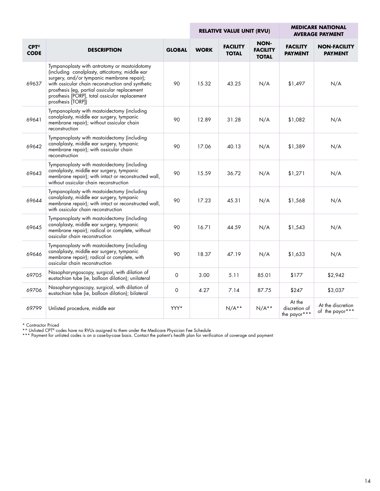|                                     |                                                                                                                                                                                                                                                                                                                            | <b>RELATIVE VALUE UNIT (RVU)</b> |             |                                 | <b>MEDICARE NATIONAL</b><br><b>AVERAGE PAYMENT</b> |                                         |                                       |
|-------------------------------------|----------------------------------------------------------------------------------------------------------------------------------------------------------------------------------------------------------------------------------------------------------------------------------------------------------------------------|----------------------------------|-------------|---------------------------------|----------------------------------------------------|-----------------------------------------|---------------------------------------|
| $CPT^{\circledcirc}$<br><b>CODE</b> | <b>DESCRIPTION</b>                                                                                                                                                                                                                                                                                                         | <b>GLOBAL</b>                    | <b>WORK</b> | <b>FACILITY</b><br><b>TOTAL</b> | <b>NON-</b><br><b>FACILITY</b><br><b>TOTAL</b>     | <b>FACILITY</b><br><b>PAYMENT</b>       | <b>NON-FACILITY</b><br><b>PAYMENT</b> |
| 69637                               | Tympanoplasty with antrotomy or mastoidotomy<br>(including canalplasty, atticotomy, middle ear<br>surgery, and/or tympanic membrane repair);<br>with ossicular chain reconstruction and synthetic<br>prosthesis (eg, partial ossicular replacement<br>prosthesis [PORP], total ossicular replacement<br>prosthesis [TORP]) | 90                               | 15.32       | 43.25                           | N/A                                                | \$1,497                                 | N/A                                   |
| 69641                               | Tympanoplasty with mastoidectomy (including<br>canalplasty, middle ear surgery, tympanic<br>membrane repair); without ossicular chain<br>reconstruction                                                                                                                                                                    | 90                               | 12.89       | 31.28                           | N/A                                                | \$1,082                                 | N/A                                   |
| 69642                               | Tympanoplasty with mastoidectomy (including<br>canalplasty, middle ear surgery, tympanic<br>membrane repair); with ossicular chain<br>reconstruction                                                                                                                                                                       | 90                               | 17.06       | 40.13                           | N/A                                                | \$1,389                                 | N/A                                   |
| 69643                               | Tympanoplasty with mastoidectomy (including<br>canalplasty, middle ear surgery, tympanic<br>membrane repair); with intact or reconstructed wall,<br>without ossicular chain reconstruction                                                                                                                                 | 90                               | 15.59       | 36.72                           | N/A                                                | \$1,271                                 | N/A                                   |
| 69644                               | Tympanoplasty with mastoidectomy (including<br>canalplasty, middle ear surgery, tympanic<br>membrane repair); with intact or reconstructed wall,<br>with ossicular chain reconstruction                                                                                                                                    | 90                               | 17.23       | 45.31                           | N/A                                                | \$1,568                                 | N/A                                   |
| 69645                               | Tympanoplasty with mastoidectomy (including<br>canalplasty, middle ear surgery, tympanic<br>membrane repair); radical or complete, without<br>ossicular chain reconstruction                                                                                                                                               | 90                               | 16.71       | 44.59                           | N/A                                                | \$1,543                                 | N/A                                   |
| 69646                               | Tympanoplasty with mastoidectomy (including<br>canalplasty, middle ear surgery, tympanic<br>membrane repair); radical or complete, with<br>ossicular chain reconstruction                                                                                                                                                  | 90                               | 18.37       | 47.19                           | N/A                                                | \$1,633                                 | N/A                                   |
| 69705                               | Nasopharyngoscopy, surgical, with dilation of<br>eustachian tube (ie, balloon dilation); unilateral                                                                                                                                                                                                                        | 0                                | 3.00        | 5.11                            | 85.01                                              | \$177                                   | \$2,942                               |
| 69706                               | Nasopharyngoscopy, surgical, with dilation of<br>eustachian tube (ie, balloon dilation); bilateral                                                                                                                                                                                                                         | $\mathsf O$                      | 4.27        | 7.14                            | 87.75                                              | \$247                                   | \$3,037                               |
| 69799                               | Unlisted procedure, middle ear                                                                                                                                                                                                                                                                                             | YYY*                             |             | $N/A**$                         | $N/A**$                                            | At the<br>discretion of<br>the payor*** | At the discretion<br>of the payor***  |

\* Contractor Priced \*\* Unlisted CPT® codes have no RVUs assigned to them under the Medicare Physician Fee Schedule

\*\*\* Payment for unlisted codes is on a case-by-case basis. Contact the patient's health plan for verification of coverage and payment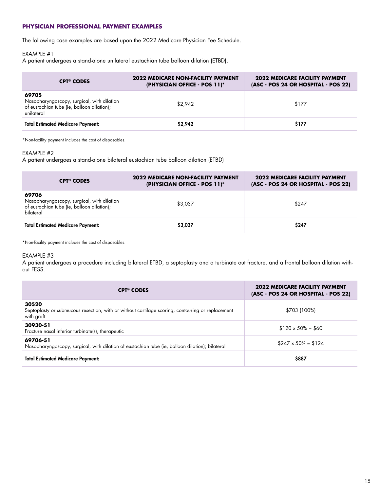#### **PHYSICIAN PROFESSIONAL PAYMENT EXAMPLES**

The following case examples are based upon the 2022 Medicare Physician Fee Schedule.

#### EXAMPLE #1

A patient undergoes a stand-alone unilateral eustachian tube balloon dilation (ETBD).

| <b>CPT<sup>®</sup> CODES</b>                                                                                    | <b>2022 MEDICARE NON-FACILITY PAYMENT</b><br>(PHYSICIAN OFFICE - POS 11)* | <b>2022 MEDICARE FACILITY PAYMENT</b><br>(ASC - POS 24 OR HOSPITAL - POS 22) |
|-----------------------------------------------------------------------------------------------------------------|---------------------------------------------------------------------------|------------------------------------------------------------------------------|
| 69705<br>Nasopharyngoscopy, surgical, with dilation<br>of eustachian tube (ie, balloon dilation);<br>unilateral | \$2.942                                                                   | \$177                                                                        |
| <b>Total Estimated Medicare Payment:</b>                                                                        | \$2,942                                                                   | \$177                                                                        |

\*Non-facility payment includes the cost of disposables.

### EXAMPLE #2

A patient undergoes a stand-alone bilateral eustachian tube balloon dilation (ETBD)

| <b>CPT<sup>®</sup> CODES</b>                                                                                   | <b>2022 MEDICARE NON-FACILITY PAYMENT</b><br>(PHYSICIAN OFFICE - POS 11)* | <b>2022 MEDICARE FACILITY PAYMENT</b><br>(ASC - POS 24 OR HOSPITAL - POS 22) |
|----------------------------------------------------------------------------------------------------------------|---------------------------------------------------------------------------|------------------------------------------------------------------------------|
| 69706<br>Nasopharyngoscopy, surgical, with dilation<br>of eustachian tube (ie, balloon dilation);<br>bilateral | \$3,037                                                                   | \$247                                                                        |
| <b>Total Estimated Medicare Payment:</b>                                                                       | \$3,037                                                                   | \$247                                                                        |

\*Non-facility payment includes the cost of disposables.

#### EXAMPLE #3

A patient undergoes a procedure including bilateral ETBD, a septoplasty and a turbinate out fracture, and a frontal balloon dilation without FESS.

| <b>CPT<sup>®</sup> CODES</b>                                                                                            | <b>2022 MEDICARE FACILITY PAYMENT</b><br>(ASC - POS 24 OR HOSPITAL - POS 22) |
|-------------------------------------------------------------------------------------------------------------------------|------------------------------------------------------------------------------|
| 30520<br>Septoplasty or submucous resection, with or without cartilage scoring, contouring or replacement<br>with graft | \$703 (100%)                                                                 |
| 30930-51<br>Fracture nasal inferior turbinate(s), therapeutic                                                           | $$120 \times 50\% = $60$                                                     |
| 69706-51<br>Nasopharyngoscopy, surgical, with dilation of eustachian tube (ie, balloon dilation); bilateral             | $$247 \times 50\% = $124$                                                    |
| <b>Total Estimated Medicare Payment:</b>                                                                                | \$887                                                                        |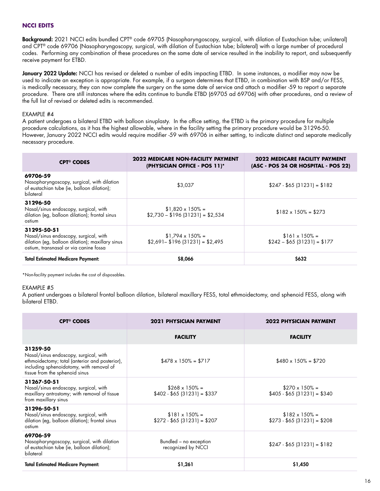### **NCCI EDITS**

Background: 2021 NCCI edits bundled CPT® code 69705 (Nasopharyngoscopy, surgical, with dilation of Eustachian tube; unilateral) and CPT® code 69706 (Nasopharyngoscopy, surgical, with dilation of Eustachian tube; bilateral) with a large number of procedural codes. Performing any combination of these procedures on the same date of service resulted in the inability to report, and subsequently receive payment for ETBD.

January 2022 Update: NCCI has revised or deleted a number of edits impacting ETBD. In some instances, a modifier may now be used to indicate an exception is appropriate. For example, if a surgeon determines that ETBD, in combination with BSP and/or FESS, is medically necessary, they can now complete the surgery on the same date of service and attach a modifier -59 to report a separate procedure. There are still instances where the edits continue to bundle ETBD (69705 ad 69706) with other procedures, and a review of the full list of revised or deleted edits is recommended.

#### EXAMPLE #4

A patient undergoes a bilateral ETBD with balloon sinuplasty. In the office setting, the ETBD is the primary procedure for multiple procedure calculations, as it has the highest allowable, where in the facility setting the primary procedure would be 31296-50. However, January 2022 NCCI edits would require modifier -59 with 69706 in either setting, to indicate distinct and separate medically necessary procedure.

| <b>CPT<sup>®</sup> CODES</b>                                                                                                                       | 2022 MEDICARE NON-FACILITY PAYMENT<br>(PHYSICIAN OFFICE - POS 11)* | 2022 MEDICARE FACILITY PAYMENT<br>(ASC - POS 24 OR HOSPITAL - POS 22) |
|----------------------------------------------------------------------------------------------------------------------------------------------------|--------------------------------------------------------------------|-----------------------------------------------------------------------|
| 69706-59<br>Nasopharyngoscopy, surgical, with dilation<br>of eustachian tube (ie, balloon dilation);<br>bilateral                                  | \$3.037                                                            | $$247 - $65 (31231) = $182$                                           |
| 31296-50<br>Nasal/sinus endoscopy, surgical, with<br>dilation (eg, balloon dilation); frontal sinus<br>ostium                                      | $$1,820 \times 150\% =$<br>$$2,730 - $196 (31231) = $2,534$        | $$182 \times 150\% = $273$                                            |
| 31295-50-51<br>Nasal/sinus endoscopy, surgical, with<br>dilation (eg, balloon dilation); maxillary sinus<br>ostium, transnasal or via canine fossa | $$1,794 \times 150\% =$<br>$$2,691 - $196 (31231) = $2,495$        | $$161 \times 150\% =$<br>$$242 - $65 (31231) = $177$                  |
| <b>Total Estimated Medicare Payment:</b>                                                                                                           | \$8,066                                                            | \$632                                                                 |

\*Non-facility payment includes the cost of disposables.

#### EXAMPLE #5

A patient undergoes a bilateral frontal balloon dilation, bilateral maxillary FESS, total ethmoidectomy, and sphenoid FESS, along with bilateral ETBD.

| <b>CPT<sup>®</sup> CODES</b>                                                                                                                                                      | <b>2021 PHYSICIAN PAYMENT</b>                        | <b>2022 PHYSICIAN PAYMENT</b>                        |
|-----------------------------------------------------------------------------------------------------------------------------------------------------------------------------------|------------------------------------------------------|------------------------------------------------------|
|                                                                                                                                                                                   | <b>FACILITY</b>                                      | <b>FACILITY</b>                                      |
| 31259-50<br>Nasal/sinus endoscopy, surgical, with<br>ethmoidectomy; total (anterior and posterior),<br>including sphenoidotomy, with removal of<br>tissue from the sphenoid sinus | $$478 \times 150\% = $717$                           | $$480 \times 150\% = $720$                           |
| 31267-50-51<br>Nasal/sinus endoscopy, surgical, with<br>maxillary antrostomy; with removal of tissue<br>from maxillary sinus                                                      | $$268 \times 150\% =$<br>$$402 - $65 (31231) = $337$ | $$270 \times 150\% =$<br>$$405 - $65 (31231) = $340$ |
| 31296-50-51<br>Nasal/sinus endoscopy, surgical, with<br>dilation (eg, balloon dilation); frontal sinus<br>ostium                                                                  | $$181 \times 150\% =$<br>$$272 - $65 (31231) = $207$ | $$182 \times 150\% =$<br>$$273 - $65 (31231) = $208$ |
| 69706-59<br>Nasopharyngoscopy, surgical, with dilation<br>of eustachian tube (ie, balloon dilation);<br>bilateral                                                                 | Bundled - no exception<br>recognized by NCCI         | $$247 - $65 (31231) = $182$                          |
| <b>Total Estimated Medicare Payment:</b>                                                                                                                                          | \$1,261                                              | \$1,450                                              |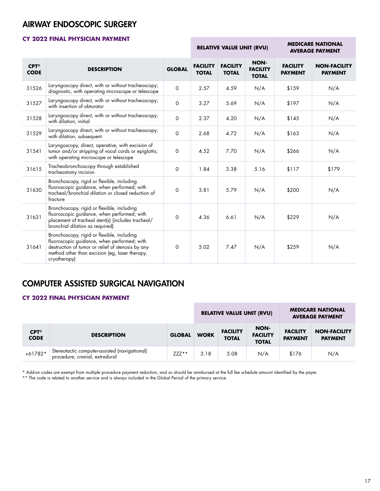# AIRWAY ENDOSCOPIC SURGERY

# **CY 2022 FINAL PHYSICIAN PAYMENT**

|                                     |                                                                                                                                                                                                                  |               | <b>MEDICARE NATIONAL</b><br><b>RELATIVE VALUE UNIT (RVU)</b><br><b>AVERAGE PAYMENT</b> |                                 |                                         |                                   |                                       |
|-------------------------------------|------------------------------------------------------------------------------------------------------------------------------------------------------------------------------------------------------------------|---------------|----------------------------------------------------------------------------------------|---------------------------------|-----------------------------------------|-----------------------------------|---------------------------------------|
| $CPT^{\circledcirc}$<br><b>CODE</b> | <b>DESCRIPTION</b>                                                                                                                                                                                               | <b>GLOBAL</b> | <b>FACILITY</b><br><b>TOTAL</b>                                                        | <b>FACILITY</b><br><b>TOTAL</b> | NON-<br><b>FACILITY</b><br><b>TOTAL</b> | <b>FACILITY</b><br><b>PAYMENT</b> | <b>NON-FACILITY</b><br><b>PAYMENT</b> |
| 31526                               | Laryngoscopy direct, with or without tracheoscopy;<br>diagnostic, with operating microscope or telescope                                                                                                         | 0             | 2.57                                                                                   | 4.59                            | N/A                                     | \$159                             | N/A                                   |
| 31527                               | Laryngoscopy direct, with or without tracheoscopy;<br>with insertion of obturator                                                                                                                                | 0             | 3.27                                                                                   | 5.69                            | N/A                                     | \$197                             | N/A                                   |
| 31528                               | Laryngoscopy direct, with or without tracheoscopy;<br>with dilation, initial                                                                                                                                     | 0             | 2.37                                                                                   | 4.20                            | N/A                                     | \$145                             | N/A                                   |
| 31529                               | Laryngoscopy direct, with or without tracheoscopy;<br>with dilation, subsequent                                                                                                                                  | 0             | 2.68                                                                                   | 4.72                            | N/A                                     | \$163                             | N/A                                   |
| 31541                               | Laryngoscopy, direct, operative, with excision of<br>tumor and/or stripping of vocal cords or epiglottis;<br>with operating microscope or telescope                                                              | 0             | 4.52                                                                                   | 7.70                            | N/A                                     | \$266                             | N/A                                   |
| 31615                               | Tracheobronchoscopy through established<br>tracheostomy incision                                                                                                                                                 | $\mathsf O$   | 1.84                                                                                   | 3.38                            | 5.16                                    | \$117                             | \$179                                 |
| 31630                               | Bronchoscopy, rigid or flexible, including<br>fluoroscopic guidance, when performed, with<br>tracheal/bronchial dilation or closed reduction of<br>fracture                                                      | 0             | 3.81                                                                                   | 5.79                            | N/A                                     | \$200                             | N/A                                   |
| 31631                               | Bronchoscopy, rigid or flexible, including<br>fluoroscopic guidance, when performed; with<br>placement of tracheal stent(s) (includes tracheal/<br>bronchial dilation as required)                               | $\mathbf 0$   | 4.36                                                                                   | 6.61                            | N/A                                     | \$229                             | N/A                                   |
| 31641                               | Bronchoscopy, rigid or flexible, including<br>fluoroscopic guidance, when performed, with<br>destruction of tumor or relief of stenosis by any<br>method other than excision (eg, laser therapy,<br>cryotherapy) | 0             | 5.02                                                                                   | 7.47                            | N/A                                     | \$259                             | N/A                                   |

# COMPUTER ASSISTED SURGICAL NAVIGATION

## **CY 2022 FINAL PHYSICIAN PAYMENT**

|                                     |                                                                                 |               | <b>RELATIVE VALUE UNIT (RVU)</b> |                                 |                                         | <b>MEDICARE NATIONAL</b><br><b>AVERAGE PAYMENT</b> |                                       |
|-------------------------------------|---------------------------------------------------------------------------------|---------------|----------------------------------|---------------------------------|-----------------------------------------|----------------------------------------------------|---------------------------------------|
| $CPT^{\circledcirc}$<br><b>CODE</b> | <b>DESCRIPTION</b>                                                              | <b>GLOBAL</b> | <b>WORK</b>                      | <b>FACILITY</b><br><b>TOTAL</b> | NON-<br><b>FACILITY</b><br><b>TOTAL</b> | <b>FACILITY</b><br><b>PAYMENT</b>                  | <b>NON-FACILITY</b><br><b>PAYMENT</b> |
| $+61782*$                           | Stereotactic computer-assisted (navigational)<br>procedure; cranial, extradural | $ZZZ^**$      | 3.18                             | 5.08                            | N/A                                     | \$176                                              | N/A                                   |

\* Add-on codes are exempt from multiple procedure payment reduction, and so should be reimbursed at the full fee schedule amount identified by the payer.

\*\* The code is related to another service and is always included in the Global Period of the primary service.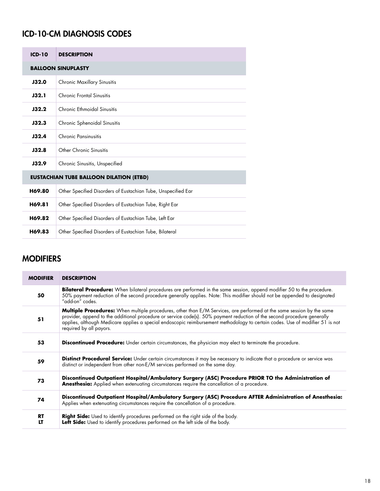# ICD-10-CM DIAGNOSIS CODES

| $ICD-10$                                       | <b>DESCRIPTION</b>                                            |
|------------------------------------------------|---------------------------------------------------------------|
| <b>BALLOON SINUPLASTY</b>                      |                                                               |
| <b>J32.0</b>                                   | <b>Chronic Maxillary Sinusitis</b>                            |
| <b>J32.1</b>                                   | Chronic Frontal Sinusitis                                     |
| J32.2                                          | Chronic Ethmoidal Sinusitis                                   |
| J32.3                                          | Chronic Sphenoidal Sinusitis                                  |
| <b>J32.4</b>                                   | Chronic Pansinusitis                                          |
| J32.8                                          | Other Chronic Sinusitis                                       |
| <b>J32.9</b>                                   | Chronic Sinusitis, Unspecified                                |
| <b>EUSTACHIAN TUBE BALLOON DILATION (ETBD)</b> |                                                               |
| H69.80                                         | Other Specified Disorders of Eustachian Tube, Unspecified Ear |
| H69.81                                         | Other Specified Disorders of Eustachian Tube, Right Ear       |
| H69.82                                         | Other Specified Disorders of Eustachian Tube, Left Ear        |
| H69.83                                         | Other Specified Disorders of Eustachian Tube, Bilateral       |

# **MODIFIERS**

| <b>MODIFIER</b> | <b>DESCRIPTION</b>                                                                                                                                                                                                                                                                                                                                                                                                   |
|-----------------|----------------------------------------------------------------------------------------------------------------------------------------------------------------------------------------------------------------------------------------------------------------------------------------------------------------------------------------------------------------------------------------------------------------------|
| 50              | <b>Bilateral Procedure:</b> When bilateral procedures are performed in the same session, append modifier 50 to the procedure.<br>50% payment reduction of the second procedure generally applies. Note: This modifier should not be appended to designated<br>"add-on" codes.                                                                                                                                        |
| 51              | <b>Multiple Procedures:</b> When multiple procedures, other than E/M Services, are performed at the same session by the same<br>provider, append to the additional procedure or service code(s). 50% payment reduction of the second procedure generally<br>applies, although Medicare applies a special endoscopic reimbursement methodology to certain codes. Use of modifier 51 is not<br>required by all payors. |
| 53              | <b>Discontinued Procedure:</b> Under certain circumstances, the physician may elect to terminate the procedure.                                                                                                                                                                                                                                                                                                      |
| 59              | Distinct Procedural Service: Under certain circumstances it may be necessary to indicate that a procedure or service was<br>distinct or independent from other non-E/M services performed on the same day.                                                                                                                                                                                                           |
| 73              | Discontinued Outpatient Hospital/Ambulatory Surgery (ASC) Procedure PRIOR TO the Administration of<br><b>Anesthesia:</b> Applied when extenuating circumstances require the cancellation of a procedure.                                                                                                                                                                                                             |
| 74              | Discontinued Outpatient Hospital/Ambulatory Surgery (ASC) Procedure AFTER Administration of Anesthesia:<br>Applies when extenuating circumstances require the cancellation of a procedure.                                                                                                                                                                                                                           |
| <b>RT</b><br>LT | Right Side: Used to identify procedures performed on the right side of the body.<br>Left Side: Used to identify procedures performed on the left side of the body.                                                                                                                                                                                                                                                   |